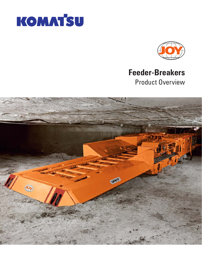



# **Feeder-Breakers** Product Overview

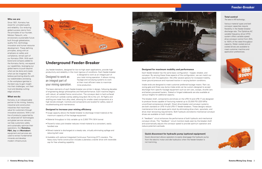## **Feeder-Breaker**

## **Quick disconnect for hydraulic pump (optional equipment)**

Quick disconnect allows operators to easily disengage the hydraulic pump from the electric motor and idle hydraulics when the feeder-breaker is not tramming.

## **Underground Feeder-Breaker**

Joy feeder-breakers, designed for low-to-high seam applications, provide high productivity and reliability in the most rigorous of conditions. Each feeder-breaker

> is designed to work as an integral part of your total mining operation. It allows mining, haulage and conveying systems to work at their most efficient rates to maximize mine production.

The basic elements of each feeder-breaker are similar in design, following decades of engineering design philosophies and field performance. Each machine begins with robust, all welded frame construction. The conveyor deck is hard surfaced with chromium carbide overlay adding long deck life to the unit. All flights and shafting are made from alloy steel, allowing for smaller sized components at a high tensile strength. Controls and components are located for safety, ease of troubleshooting and maintenance.

#### **Designed to increase your mining efficiency**

Each feeder-breaker has the same basic configuration - hopper, breaker, and conveyor. By varying these three aspects of the configuration, we can match our equipment with the application. We offer several options for increased mobility, lower ground pressure and improved traction in varying bottom conditions.

- Surge capacity allows the feeder-breaker to discharge mined material at the maximum capacity of the haulage equipment
- Material throughput is fully variable up to 2,000 TPH (1814 tonne)
- Powerful rotary pick breaker reduces mined material to a consistent, easily handled size
- Mined material is discharged at a steady rate, virtually eliminating spillage and reducing belt wear
- Available with optional Integrated Continuous Tramming (ICT) crawlers. The heavy-duty frame construction includes a planetary crawler drive with reversible cap for free wheeling capability



## Designed to work as an integral part of your mining operation.

#### **Designed for maximum mobility and performance**

Intake ends are designed to meet customer preferred haulage means. Ram car, swing gate and three-way dump intake ends can be custom-designed to accept discharge from specific haulage equipment such as ram cars, scoops, shuttle cars and battery-powered haulers. Staked or hinged sideboards are also available at various heights for additional capacity.

The breaker shaft, components and drives on the UFB-14 and UFB-17 are designed to produce forces capable of fracturing material up to 33,000 PSI (220 MPa) unconfined compressive strength. Direct drive breaker and conveyor systems are both standard on UFB-14 and UFB-17 feeder-breakers. These designs reduce maintenance time and spare parts stock by eliminating drive chain, sprockets, and drive chain tensioning requirements. Both hydraulic and electro-mechanical conveyor drives are available on both models.

A "feedback" circuit enhances the performance of both hydraulic and mechanical conveyor drives. The "feedback" circuit monitors loads seen by the breaker shaft and automatically adjusts the conveyor speed to provide optimum operation and reduce potential overloads.

## **Total control**

The latest in VFD technology...

Various material types and belt conveyor capacities require flexibility in the feeder-breaker discharge rate. The Optidrive AC variable frequency drive (VFD) system offers variable speed drive conveyor control from 25% to 100% of the rated throughput capacity. Water cooled and air cooled drives are available to meet customer machine and application preferences.





#### **Who we are:**

Since 1921, Komatsu has stood for unrivaled quality and reliability. Our enduring global success stems from the principles of our founder, Meitaro Takeuchi, who envisioned a sustainable future built through globalization, quality first, technology innovation and human resource development. These defining principles, along with an emphasis on safety and compliance, remain part of our Komatsu DNA. With each brand and company added to the Komatsu family, we expand our capabilities, leveraging our global teams to push beyond what can be done and create what can be imagined. We believe partnering directly with our stakeholders and being in the workplace (gemba) is the best way to gain insight into their challenges, win their trust and develop cuttingedge solutions.

#### **What we do:**

Komatsu is an indispensable partner to the mining, forestry, industrial and construction industries that maximizes value for customers through innovative solutions. With a full line of products supported by our advanced IoT technologies and global service network, we help customers safely and sustainably optimize their operations. Our **Komatsu, P&H, Joy** and **Montabert** equipment and services are used to extract fundamental minerals and develop modern infrastructure.

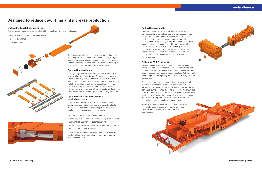

## **Designed to reduce downtime and increase production**

## **Enclosed tail shaft bearings option**

Feeder-breaker intake ends are available with our enclosed tail shaft bearings design.

- Extends bearing life up to four times longer
- Reduces downtime
- Increases production





### **Splined breaker shafts**

Operators benefit from our simplified and more robust connection, fewer parts, less labor and less space needed for removal. With less downtime during change-out, the machine is put back in service more quickly and is therefore more productive. By moving to a splined connection versus a compression connection, assembly and disassembly time is reduced more than 50%. Available space for drive removal and installation is increased, making repairs easier. Actual splined connection is 25% stronger than previous connections, while maintaining ability to disassemble when required.

#### **Additional UFB-14 options**

Design includes alloy steel shafts, improved contact seals (three degrees of separation from contaminants), a larger bearing and several levels of bearing protection from water and contamination. Field retrofit-kits are available to upgrade existing machines with slight frame modifications

#### **Optional bolt-on flights**

Conveyor flight replacement is quicker and easier with our bolt-on, alloy steel flight design. With this option, operators have the flexibility to add additional flights and improve product sizing. Instead of the welded flight end design, four bolts hold each flight in place. No special convevor chain links are included and there is no need to remove chain covers. The new design also retrofits with standard conveyor chain. Downtime to replace flights is reduced by up to 75%.

Optional equipment for the UFB-14 includes a tail piece and impact bed for smoother transfer of material to the belt conveyor system. This built-in loading section option is used in lieu of a separate conveyor tail loading section. Belt alignment can be improved by adjusting the tail section training cylinders as required.

Belt moves are quicker and easier since the conveyor belt is pulled by the feeder-breaker as it is trammed to a new location and re-positioned. Operators should consult Komatsu personnel during the mine planning process for maximum belt pull capabilities. The requirement to bolt a separate tail loading section in place and un-bolt during a belt move is eliminated. Machine-stabilizing roof beams or cylinders are also part of the design for added stability during operation.

Available equipment includes our conveyor belt lifter that can be used to suspend the conveyor belt in place as sections of conveyor structure are being added.



## **Optional hydraulic conveyor chain tensioning system**

Chain take-up tension can easily be adjusted without removing covers on the intake end and manually adjusting the chain. With less downtime during change-out, the machine is put back in service more quickly.

- More robust design with fewer parts to fail
- Tensioning is more accurate, leading to improved machine performance and increased component life
- Under normal conditions, chain adjustment time is reduced from two hours to two minutes

The system is capable of providing the optimal conveyor tension without over-tensioning the chain under normal operating conditions.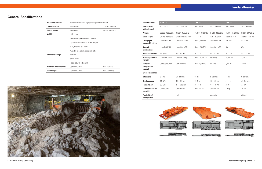

| <b>Model Number</b>                        | <b>UFB-14</b>        |                      | <b>UFB-17</b>       |                    | <b>UFB-22</b>       |                    |
|--------------------------------------------|----------------------|----------------------|---------------------|--------------------|---------------------|--------------------|
| <b>Overall width</b><br>(at intake end)    | 112 - 148 in         | 2844 - 3759 mm       | 108 - 142 in        | 2743 - 3606 mm     | 108 - 142 in        | 2743 - 3606 mm     |
| Weight                                     | 80,000 - 100,000 lbs | 36,287 - 45,359 kg   | 75,000 - 90,000 lbs | 34,000 - 40,823 kg | 58,000 - 65,000 lbs | 26,308 - 29,483 kg |
| <b>Seam height</b>                         | Greater than 65 in   | Greater than 1650 mm | $48 - 64$ in        | 1220 - 1625 mm     | Less than 48 in     | Less than 1220 mm  |
| <b>Throughput</b><br>standard (variable)   | Up to 1,500 TPH      | Up to 1360 MTPH      | Up to 1,000 TPH     | Up to 900 MTPH     | 700 TPH             | 636 MTPH           |
| <b>Special</b><br>applications             | Up to 2,000 TPH      | Up to 1800 MTPH      | Up to 1,200 TPH     | Up to 1091 MTPH    | N/A                 | N/A                |
| <b>Breaker diameter</b>                    | $21 - 34$ in         | 533 - 864 mm         | $15 - 21$ in        | 381 - 533 mm       | 15 - 17 in          | 381 - 432 mm       |
| <b>Breaker pick force</b><br>(variable)    | Up to 130,000 lbs    | Up to 60,000 kg      | Up to 130,000 lbs   | 60,000 kg          | 60,000 lbs          | 27,200 kg          |
| <b>Material</b><br>compressive<br>strength | Up to 33,000 PSI     | Up to 220 MPa        | Up to 33,000 PSI    | 220 MPa            | 7.000 PSI           | 48 MPa             |
| <b>Ground clearance:</b>                   |                      |                      |                     |                    |                     |                    |
| <b>Intake end</b>                          | $2 - 17$ in          | $50 - 432$ mm        | $0 - 8$ in          | $0 - 203$ mm       | $0 - 8$ in          | $0 - 203$ mm       |
| <b>Discharge end</b>                       | 12 - 27 in           | 305 - 686 mm         | 6 - 21 in           | 152 - 533 mm       | $2 - 10$ in         | $50 - 254$ mm      |
| <b>Frame height</b>                        | 36 - 51 in           | 914 - 1295 mm        | 28 - 37 in          | 711 - 940 mm       | $26$ in             | 660 mm             |
| <b>Total horsepower</b><br>(variable)      | Up to 300 hp         | Up to 225 kW         | Up to 250 hp        | Up to 190 kW       | 175 hp              | 130 kW             |
| <b>Flexibility of</b><br>configuration     |                      | High                 |                     | Moderate           |                     | Minimal            |



## **General Specifications**

| <b>Processed material</b>        | Run-of-mine coal with high percentage of rock content |                  |  |  |  |
|----------------------------------|-------------------------------------------------------|------------------|--|--|--|
| <b>Conveyor width</b>            | 50 and 56 in                                          | 1270 and 1422 mm |  |  |  |
| <b>Overall length</b>            | $396 - 460$ in                                        | 10058 - 11684 mm |  |  |  |
| <b>Mobility</b>                  | High torque                                           |                  |  |  |  |
|                                  | Free wheeling extreme duty crawlers                   |                  |  |  |  |
|                                  | Optional tram speeds 30, 42 and 50 fpm                |                  |  |  |  |
|                                  | $(9.14, 12.8$ and 15.2 mpm)                           |                  |  |  |  |
|                                  | Available per customer requirements                   |                  |  |  |  |
| Intake end design                | Ram car                                               |                  |  |  |  |
|                                  | 3-way dump                                            |                  |  |  |  |
|                                  | Hoppered with sideboards                              |                  |  |  |  |
| <b>Available tractive effort</b> | Up to 142,000 lbs                                     | Up to 64,410 kg  |  |  |  |
| Drawbar pull                     | Up to 100,000 lbs                                     | Up to 45,359 kg  |  |  |  |